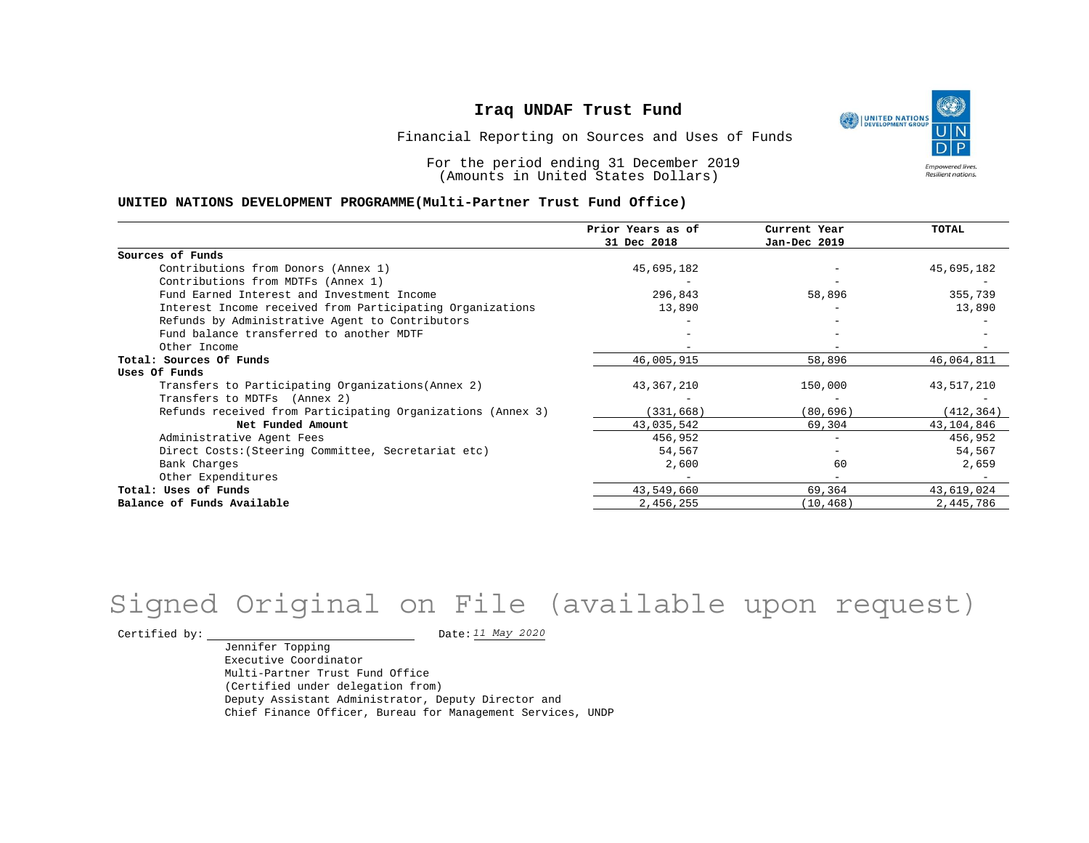UNITED NATIONS **Empowered lives** Resilient nations.

Financial Reporting on Sources and Uses of Funds

For the period ending 31 December 2019 (Amounts in United States Dollars)

#### **UNITED NATIONS DEVELOPMENT PROGRAMME(Multi-Partner Trust Fund Office)**

|                                                             | Prior Years as of<br>31 Dec 2018 | Current Year<br>Jan-Dec 2019 | <b>TOTAL</b> |
|-------------------------------------------------------------|----------------------------------|------------------------------|--------------|
| Sources of Funds                                            |                                  |                              |              |
| Contributions from Donors (Annex 1)                         | 45,695,182                       |                              | 45,695,182   |
| Contributions from MDTFs (Annex 1)                          |                                  |                              |              |
| Fund Earned Interest and Investment Income                  | 296,843                          | 58,896                       | 355,739      |
| Interest Income received from Participating Organizations   | 13,890                           |                              | 13,890       |
| Refunds by Administrative Agent to Contributors             |                                  |                              |              |
| Fund balance transferred to another MDTF                    |                                  |                              |              |
| Other Income                                                |                                  |                              |              |
| Total: Sources Of Funds                                     | 46,005,915                       | 58,896                       | 46,064,811   |
| Uses Of Funds                                               |                                  |                              |              |
| Transfers to Participating Organizations (Annex 2)          | 43,367,210                       | 150,000                      | 43,517,210   |
| Transfers to MDTFs (Annex 2)                                |                                  |                              |              |
| Refunds received from Participating Organizations (Annex 3) | (331, 668)                       | (80, 696)                    | (412, 364)   |
| Net Funded Amount                                           | 43,035,542                       | 69,304                       | 43,104,846   |
| Administrative Agent Fees                                   | 456,952                          | $\overline{\phantom{0}}$     | 456,952      |
| Direct Costs: (Steering Committee, Secretariat etc)         | 54,567                           |                              | 54,567       |
| Bank Charges                                                | 2,600                            | 60                           | 2,659        |
| Other Expenditures                                          |                                  |                              |              |
| Total: Uses of Funds                                        | 43,549,660                       | 69,364                       | 43,619,024   |
| Balance of Funds Available                                  | 2,456,255                        | (10, 468)                    | 2,445,786    |

# Signed Original on File (available upon request)

Certified by:  $\frac{11 May 2020}{100}$ 

Jennifer Topping Executive Coordinator Multi-Partner Trust Fund Office (Certified under delegation from) Deputy Assistant Administrator, Deputy Director and Chief Finance Officer, Bureau for Management Services, UNDP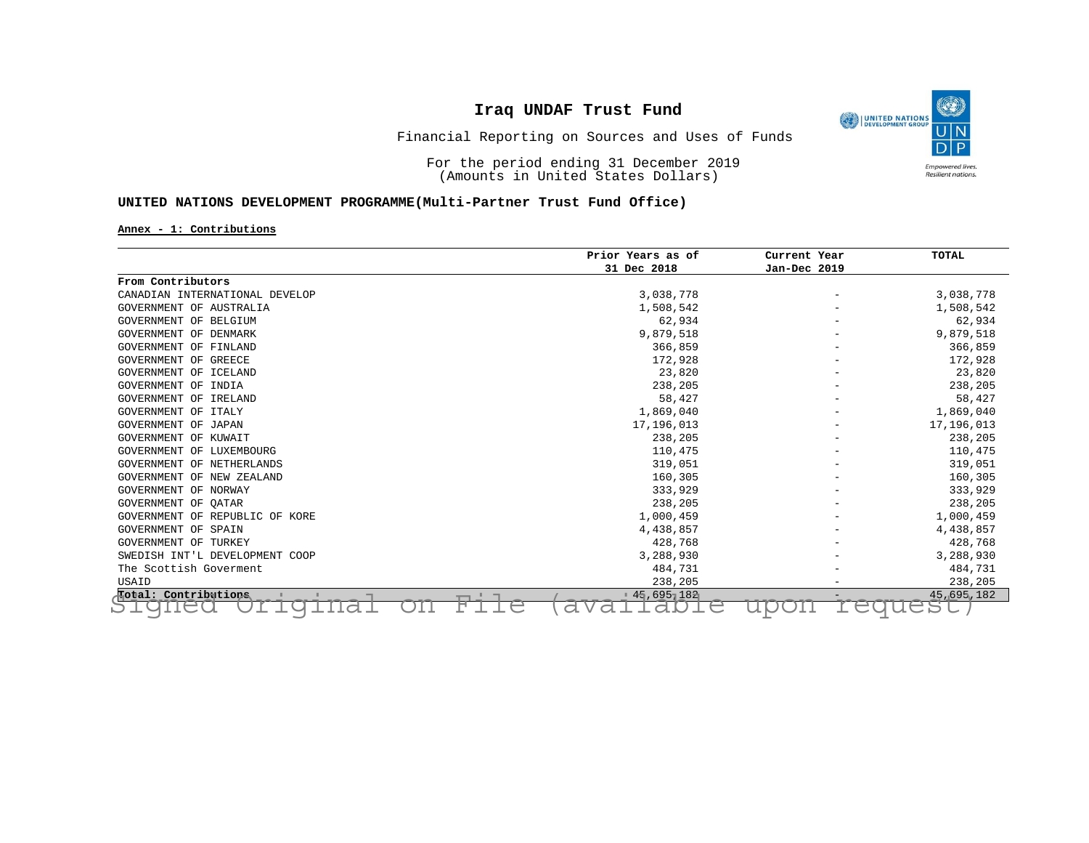

Financial Reporting on Sources and Uses of Funds

For the period ending 31 December 2019 (Amounts in United States Dollars)

### **UNITED NATIONS DEVELOPMENT PROGRAMME(Multi-Partner Trust Fund Office)**

**Annex - 1: Contributions**

|                                                                               | Prior Years as of       | Current Year | <b>TOTAL</b>      |
|-------------------------------------------------------------------------------|-------------------------|--------------|-------------------|
|                                                                               | 31 Dec 2018             | Jan-Dec 2019 |                   |
| From Contributors                                                             |                         |              |                   |
| CANADIAN INTERNATIONAL DEVELOP                                                | 3,038,778               |              | 3,038,778         |
| GOVERNMENT OF AUSTRALIA                                                       | 1,508,542               |              | 1,508,542         |
| GOVERNMENT OF BELGIUM                                                         | 62,934                  |              | 62,934            |
| GOVERNMENT OF DENMARK                                                         | 9,879,518               |              | 9,879,518         |
| GOVERNMENT OF FINLAND                                                         | 366,859                 |              | 366,859           |
| GOVERNMENT OF GREECE                                                          | 172,928                 |              | 172,928           |
| GOVERNMENT OF ICELAND                                                         | 23,820                  |              | 23,820            |
| GOVERNMENT OF INDIA                                                           | 238,205                 |              | 238,205           |
| GOVERNMENT OF IRELAND                                                         | 58,427                  |              | 58,427            |
| GOVERNMENT OF ITALY                                                           | 1,869,040               |              | 1,869,040         |
| GOVERNMENT OF JAPAN                                                           | 17,196,013              |              | 17,196,013        |
| GOVERNMENT OF KUWAIT                                                          | 238,205                 |              | 238,205           |
| GOVERNMENT OF LUXEMBOURG                                                      | 110,475                 |              | 110,475           |
| GOVERNMENT OF NETHERLANDS                                                     | 319,051                 |              | 319,051           |
| GOVERNMENT OF NEW ZEALAND                                                     | 160,305                 |              | 160,305           |
| GOVERNMENT OF NORWAY                                                          | 333,929                 |              | 333,929           |
| GOVERNMENT OF OATAR                                                           | 238,205                 |              | 238,205           |
| GOVERNMENT OF REPUBLIC OF KORE                                                | 1,000,459               |              | 1,000,459         |
| <b>GOVERNMENT OF SPAIN</b>                                                    | 4,438,857               |              | 4,438,857         |
| GOVERNMENT OF TURKEY                                                          | 428,768                 |              | 428,768           |
| SWEDISH INT'L DEVELOPMENT COOP                                                | 3,288,930               |              | 3,288,930         |
| The Scottish Goverment                                                        | 484,731                 |              | 484,731           |
| USAID                                                                         | 238,205                 |              | 238,205           |
| Fotal: Contributions<br>$\overline{\phantom{0}}$<br>F<br>$\curvearrowright$ ( | $+45,695$ , 182<br>ヽ/ → | $\sim$       | 45,695,182<br>ਠਵਾ |

Signed Original on File (available upon request)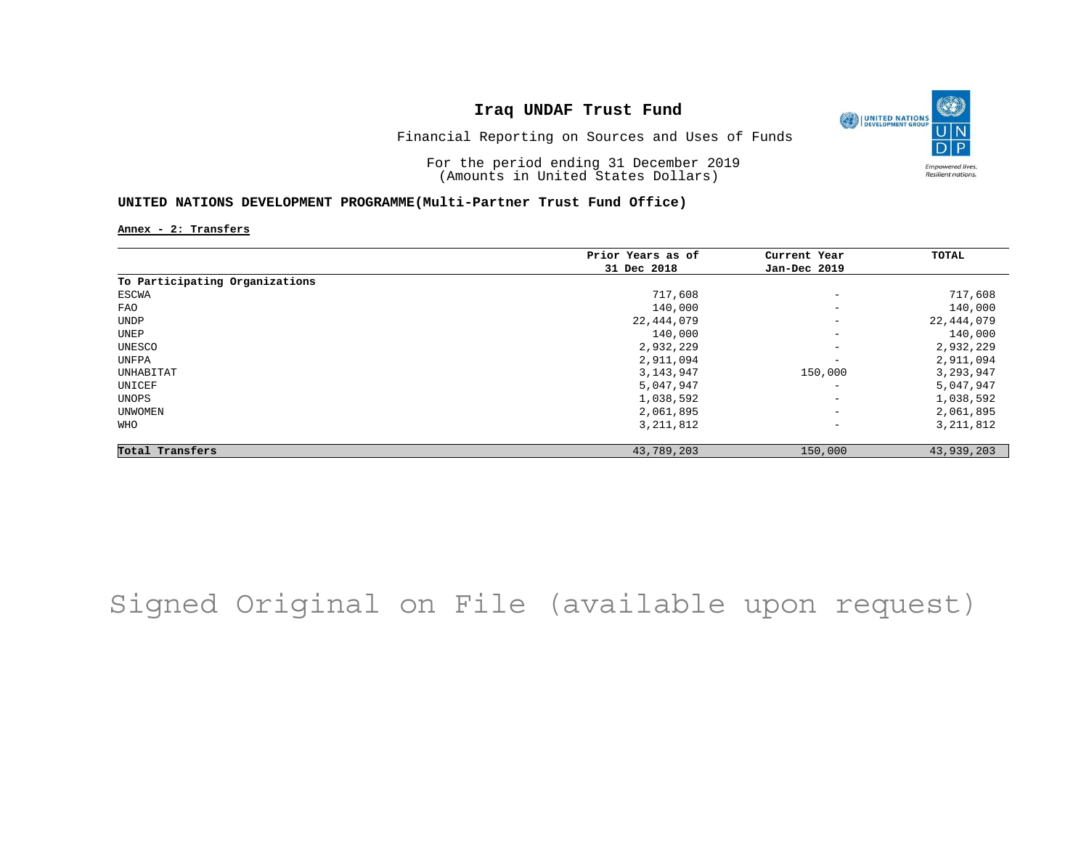

Financial Reporting on Sources and Uses of Funds

For the period ending 31 December 2019 (Amounts in United States Dollars)

### **UNITED NATIONS DEVELOPMENT PROGRAMME(Multi-Partner Trust Fund Office)**

**Annex - 2: Transfers**

|                                | Prior Years as of | Current Year             | TOTAL       |
|--------------------------------|-------------------|--------------------------|-------------|
|                                | 31 Dec 2018       | Jan-Dec 2019             |             |
| To Participating Organizations |                   |                          |             |
| ESCWA                          | 717,608           | $\qquad \qquad -$        | 717,608     |
| FAO                            | 140,000           | $\overline{\phantom{a}}$ | 140,000     |
| UNDP                           | 22,444,079        | $\overline{\phantom{a}}$ | 22,444,079  |
| UNEP                           | 140,000           | $\qquad \qquad -$        | 140,000     |
| UNESCO                         | 2,932,229         | $\qquad \qquad -$        | 2,932,229   |
| UNFPA                          | 2,911,094         | $\overline{\phantom{a}}$ | 2,911,094   |
| UNHABITAT                      | 3, 143, 947       | 150,000                  | 3,293,947   |
| UNICEF                         | 5,047,947         | $\qquad \qquad -$        | 5,047,947   |
| UNOPS                          | 1,038,592         | $\qquad \qquad -$        | 1,038,592   |
| UNWOMEN                        | 2,061,895         | $\overline{\phantom{a}}$ | 2,061,895   |
| WHO                            | 3, 211, 812       | $\qquad \qquad -$        | 3, 211, 812 |
| Total Transfers                | 43,789,203        | 150,000                  | 43,939,203  |

Signed Original on File (available upon request)